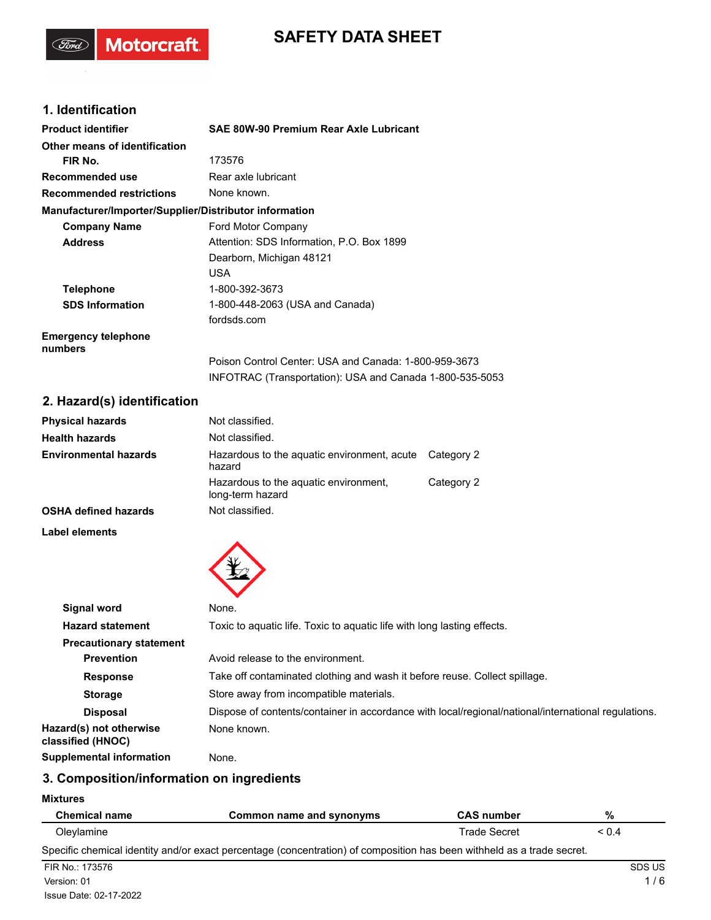# **SAFETY DATA SHEET**

## **1. Identification**

(Ford)

Motorcraft.

| <b>Product identifier</b>                              | SAE 80W-90 Premium Rear Axle Lubricant                   |
|--------------------------------------------------------|----------------------------------------------------------|
| Other means of identification                          |                                                          |
| FIR No.                                                | 173576                                                   |
| Recommended use                                        | Rear axle lubricant                                      |
| <b>Recommended restrictions</b>                        | None known.                                              |
| Manufacturer/Importer/Supplier/Distributor information |                                                          |
| <b>Company Name</b>                                    | Ford Motor Company                                       |
| <b>Address</b>                                         | Attention: SDS Information, P.O. Box 1899                |
|                                                        | Dearborn, Michigan 48121                                 |
|                                                        | <b>USA</b>                                               |
| <b>Telephone</b>                                       | 1-800-392-3673                                           |
| <b>SDS Information</b>                                 | 1-800-448-2063 (USA and Canada)                          |
|                                                        | fordsds.com                                              |
| <b>Emergency telephone</b><br>numbers                  |                                                          |
|                                                        | Poison Control Center: USA and Canada: 1-800-959-3673    |
|                                                        | INFOTRAC (Transportation): USA and Canada 1-800-535-5053 |

## **2. Hazard(s) identification**

| <b>Physical hazards</b>      | Not classified.                                           |            |
|------------------------------|-----------------------------------------------------------|------------|
| <b>Health hazards</b>        | Not classified.                                           |            |
| <b>Environmental hazards</b> | Hazardous to the aquatic environment, acute<br>hazard     | Category 2 |
|                              | Hazardous to the aquatic environment,<br>long-term hazard | Category 2 |
| <b>OSHA defined hazards</b>  | Not classified.                                           |            |

**Label elements**



| Signal word                                  | None.                                                                                               |
|----------------------------------------------|-----------------------------------------------------------------------------------------------------|
| <b>Hazard statement</b>                      | Toxic to aquatic life. Toxic to aquatic life with long lasting effects.                             |
| <b>Precautionary statement</b>               |                                                                                                     |
| <b>Prevention</b>                            | Avoid release to the environment.                                                                   |
| <b>Response</b>                              | Take off contaminated clothing and wash it before reuse. Collect spillage.                          |
| <b>Storage</b>                               | Store away from incompatible materials.                                                             |
| <b>Disposal</b>                              | Dispose of contents/container in accordance with local/regional/national/international regulations. |
| Hazard(s) not otherwise<br>classified (HNOC) | None known.                                                                                         |
| Supplemental information                     | None.                                                                                               |

## **3. Composition/information on ingredients**

#### **Mixtures**

| <b>Chemical name</b>                                                                                                   | Common name and synonyms | <b>CAS number</b>   | %          |
|------------------------------------------------------------------------------------------------------------------------|--------------------------|---------------------|------------|
| Oleylamine                                                                                                             |                          | <b>Trade Secret</b> | $\leq$ 0.4 |
| Specific chemical identity and/or exact percentage (concentration) of composition has been withheld as a trade secret. |                          |                     |            |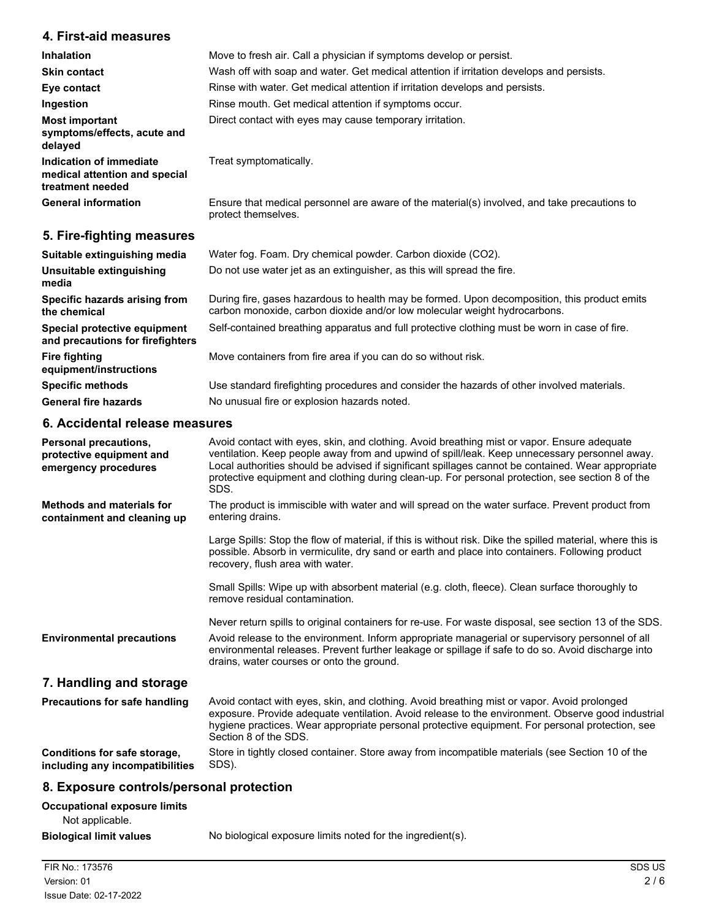### **4. First-aid measures**

| <b>Inhalation</b>                                                            | Move to fresh air. Call a physician if symptoms develop or persist.                                                 |
|------------------------------------------------------------------------------|---------------------------------------------------------------------------------------------------------------------|
| <b>Skin contact</b>                                                          | Wash off with soap and water. Get medical attention if irritation develops and persists.                            |
| Eye contact                                                                  | Rinse with water. Get medical attention if irritation develops and persists.                                        |
| Ingestion                                                                    | Rinse mouth. Get medical attention if symptoms occur.                                                               |
| <b>Most important</b><br>symptoms/effects, acute and<br>delayed              | Direct contact with eyes may cause temporary irritation.                                                            |
| Indication of immediate<br>medical attention and special<br>treatment needed | Treat symptomatically.                                                                                              |
| <b>General information</b>                                                   | Ensure that medical personnel are aware of the material(s) involved, and take precautions to<br>protect themselves. |
| 5. Fire-fighting measures                                                    |                                                                                                                     |

#### **Suitable extinguishing media** Water fog. Foam. Dry chemical powder. Carbon dioxide (CO2). **Unsuitable extinguishing** Do not use water jet as an extinguisher, as this will spread the fire. **media** During fire, gases hazardous to health may be formed. Upon decomposition, this product emits carbon monoxide, carbon dioxide and/or low molecular weight hydrocarbons. **Specific hazards arising from the chemical Special protective equipment** Self-contained breathing apparatus and full protective clothing must be worn in case of fire. **and precautions for firefighters Fire fighting Move containers from fire area if you can do so without risk. equipment/instructions Specific methods** Use standard firefighting procedures and consider the hazards of other involved materials. General fire hazards **No unusual fire or explosion hazards noted.**

#### **6. Accidental release measures**

| <b>Personal precautions,</b><br>protective equipment and<br>emergency procedures | Avoid contact with eyes, skin, and clothing. Avoid breathing mist or vapor. Ensure adequate<br>ventilation. Keep people away from and upwind of spill/leak. Keep unnecessary personnel away.<br>Local authorities should be advised if significant spillages cannot be contained. Wear appropriate<br>protective equipment and clothing during clean-up. For personal protection, see section 8 of the<br>SDS. |
|----------------------------------------------------------------------------------|----------------------------------------------------------------------------------------------------------------------------------------------------------------------------------------------------------------------------------------------------------------------------------------------------------------------------------------------------------------------------------------------------------------|
| <b>Methods and materials for</b><br>containment and cleaning up                  | The product is immiscible with water and will spread on the water surface. Prevent product from<br>entering drains.                                                                                                                                                                                                                                                                                            |
|                                                                                  | Large Spills: Stop the flow of material, if this is without risk. Dike the spilled material, where this is<br>possible. Absorb in vermiculite, dry sand or earth and place into containers. Following product<br>recovery, flush area with water.                                                                                                                                                              |
|                                                                                  | Small Spills: Wipe up with absorbent material (e.g. cloth, fleece). Clean surface thoroughly to<br>remove residual contamination.                                                                                                                                                                                                                                                                              |
| <b>Environmental precautions</b>                                                 | Never return spills to original containers for re-use. For waste disposal, see section 13 of the SDS.<br>Avoid release to the environment. Inform appropriate managerial or supervisory personnel of all<br>environmental releases. Prevent further leakage or spillage if safe to do so. Avoid discharge into<br>drains, water courses or onto the ground.                                                    |
| 7. Handling and storage                                                          |                                                                                                                                                                                                                                                                                                                                                                                                                |
| <b>Precautions for safe handling</b>                                             | Avoid contact with eyes, skin, and clothing. Avoid breathing mist or vapor. Avoid prolonged<br>exposure. Provide adequate ventilation. Avoid release to the environment. Observe good industrial<br>hygiene practices. Wear appropriate personal protective equipment. For personal protection, see<br>Section 8 of the SDS.                                                                                   |
| Conditions for safe storage,<br>including any incompatibilities                  | Store in tightly closed container. Store away from incompatible materials (see Section 10 of the<br>SDS).                                                                                                                                                                                                                                                                                                      |

## **8. Exposure controls/personal protection**

| <b>Occupational exposure limits</b> |         |  |
|-------------------------------------|---------|--|
| Not applicable.                     |         |  |
| <b>Biological limit values</b>      | No biol |  |

**gical limit values** No biological exposure limits noted for the ingredient(s).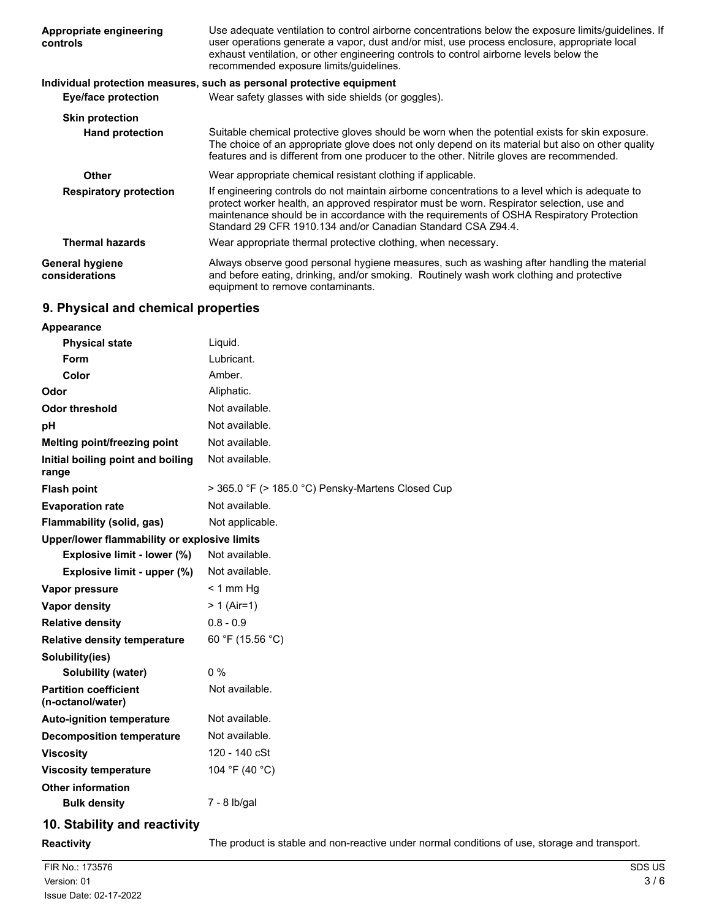| Appropriate engineering<br>controls      | Use adequate ventilation to control airborne concentrations below the exposure limits/guidelines. If<br>user operations generate a vapor, dust and/or mist, use process enclosure, appropriate local<br>exhaust ventilation, or other engineering controls to control airborne levels below the<br>recommended exposure limits/quidelines.               |
|------------------------------------------|----------------------------------------------------------------------------------------------------------------------------------------------------------------------------------------------------------------------------------------------------------------------------------------------------------------------------------------------------------|
|                                          | Individual protection measures, such as personal protective equipment                                                                                                                                                                                                                                                                                    |
| <b>Eye/face protection</b>               | Wear safety glasses with side shields (or goggles).                                                                                                                                                                                                                                                                                                      |
| <b>Skin protection</b>                   |                                                                                                                                                                                                                                                                                                                                                          |
| <b>Hand protection</b>                   | Suitable chemical protective gloves should be worn when the potential exists for skin exposure.<br>The choice of an appropriate glove does not only depend on its material but also on other quality<br>features and is different from one producer to the other. Nitrile gloves are recommended.                                                        |
| Other                                    | Wear appropriate chemical resistant clothing if applicable.                                                                                                                                                                                                                                                                                              |
| <b>Respiratory protection</b>            | If engineering controls do not maintain airborne concentrations to a level which is adequate to<br>protect worker health, an approved respirator must be worn. Respirator selection, use and<br>maintenance should be in accordance with the requirements of OSHA Respiratory Protection<br>Standard 29 CFR 1910.134 and/or Canadian Standard CSA Z94.4. |
| <b>Thermal hazards</b>                   | Wear appropriate thermal protective clothing, when necessary.                                                                                                                                                                                                                                                                                            |
| <b>General hygiene</b><br>considerations | Always observe good personal hygiene measures, such as washing after handling the material<br>and before eating, drinking, and/or smoking. Routinely wash work clothing and protective<br>equipment to remove contaminants.                                                                                                                              |

## **9. Physical and chemical properties**

| <b>Appearance</b>                                 |                                                   |  |
|---------------------------------------------------|---------------------------------------------------|--|
| <b>Physical state</b>                             | Liquid.                                           |  |
| Form                                              | Lubricant.                                        |  |
| Color                                             | Amber.                                            |  |
| Odor                                              | Aliphatic.                                        |  |
| <b>Odor threshold</b>                             | Not available.                                    |  |
| рH                                                | Not available.                                    |  |
| Melting point/freezing point                      | Not available.                                    |  |
| Initial boiling point and boiling<br>range        | Not available.                                    |  |
| <b>Flash point</b>                                | > 365.0 °F (> 185.0 °C) Pensky-Martens Closed Cup |  |
| <b>Evaporation rate</b>                           | Not available.                                    |  |
| Flammability (solid, gas)                         | Not applicable.                                   |  |
| Upper/lower flammability or explosive limits      |                                                   |  |
| Explosive limit - lower (%)                       | Not available.                                    |  |
| Explosive limit - upper (%)                       | Not available.                                    |  |
| Vapor pressure                                    | $<$ 1 mm Hg                                       |  |
| <b>Vapor density</b>                              | $> 1$ (Air=1)                                     |  |
| <b>Relative density</b>                           | $0.8 - 0.9$                                       |  |
| <b>Relative density temperature</b>               | 60 °F (15.56 °C)                                  |  |
| Solubility(ies)                                   |                                                   |  |
| Solubility (water)                                | $0\%$                                             |  |
| <b>Partition coefficient</b><br>(n-octanol/water) | Not available.                                    |  |
| <b>Auto-ignition temperature</b>                  | Not available.                                    |  |
| <b>Decomposition temperature</b>                  | Not available.                                    |  |
| <b>Viscosity</b>                                  | 120 - 140 cSt                                     |  |
| <b>Viscosity temperature</b>                      | 104 °F (40 °C)                                    |  |
| <b>Other information</b>                          |                                                   |  |
| <b>Bulk density</b>                               | 7 - 8 lb/gal                                      |  |
| 10. Stability and reactivity                      |                                                   |  |

**Reactivity** The product is stable and non-reactive under normal conditions of use, storage and transport.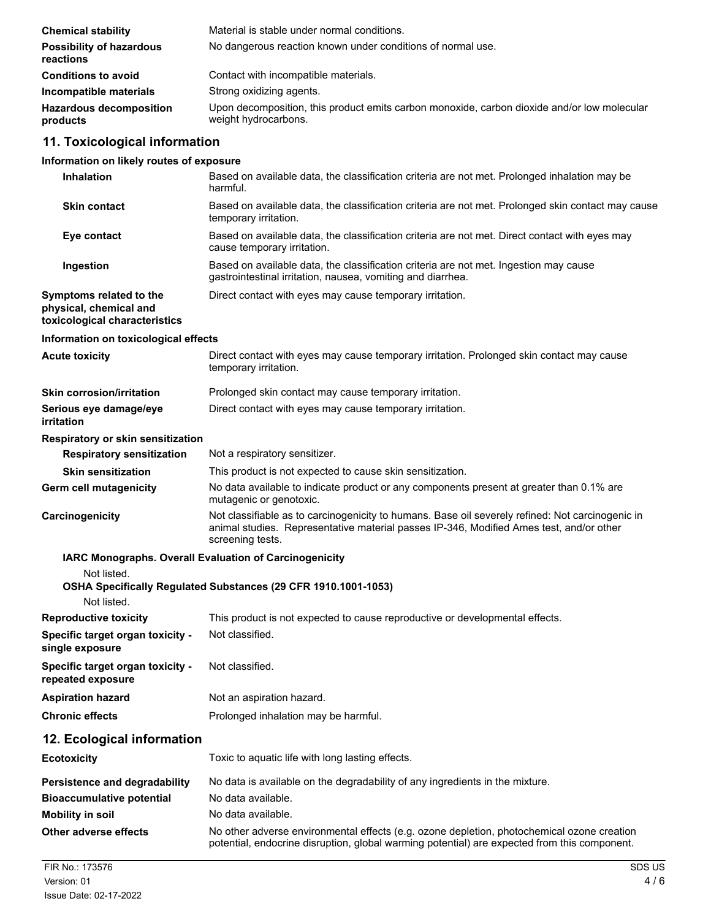| <b>Chemical stability</b>                    | Material is stable under normal conditions.                                                                         |
|----------------------------------------------|---------------------------------------------------------------------------------------------------------------------|
| <b>Possibility of hazardous</b><br>reactions | No dangerous reaction known under conditions of normal use.                                                         |
| <b>Conditions to avoid</b>                   | Contact with incompatible materials.                                                                                |
| Incompatible materials                       | Strong oxidizing agents.                                                                                            |
| <b>Hazardous decomposition</b><br>products   | Upon decomposition, this product emits carbon monoxide, carbon dioxide and/or low molecular<br>weight hydrocarbons. |

## **11. Toxicological information**

## **Information on likely routes of exposure**

| <b>Inhalation</b>                                                                  | Based on available data, the classification criteria are not met. Prolonged inhalation may be<br>harmful.                                                                                                       |
|------------------------------------------------------------------------------------|-----------------------------------------------------------------------------------------------------------------------------------------------------------------------------------------------------------------|
| <b>Skin contact</b>                                                                | Based on available data, the classification criteria are not met. Prolonged skin contact may cause<br>temporary irritation.                                                                                     |
| Eye contact                                                                        | Based on available data, the classification criteria are not met. Direct contact with eyes may<br>cause temporary irritation.                                                                                   |
| Ingestion                                                                          | Based on available data, the classification criteria are not met. Ingestion may cause<br>gastrointestinal irritation, nausea, vomiting and diarrhea.                                                            |
| Symptoms related to the<br>physical, chemical and<br>toxicological characteristics | Direct contact with eyes may cause temporary irritation.                                                                                                                                                        |
| Information on toxicological effects                                               |                                                                                                                                                                                                                 |
| <b>Acute toxicity</b>                                                              | Direct contact with eyes may cause temporary irritation. Prolonged skin contact may cause<br>temporary irritation.                                                                                              |
| <b>Skin corrosion/irritation</b>                                                   | Prolonged skin contact may cause temporary irritation.                                                                                                                                                          |
| Serious eye damage/eye<br>irritation                                               | Direct contact with eyes may cause temporary irritation.                                                                                                                                                        |
| Respiratory or skin sensitization                                                  |                                                                                                                                                                                                                 |
| <b>Respiratory sensitization</b>                                                   | Not a respiratory sensitizer.                                                                                                                                                                                   |
| <b>Skin sensitization</b>                                                          | This product is not expected to cause skin sensitization.                                                                                                                                                       |
| <b>Germ cell mutagenicity</b>                                                      | No data available to indicate product or any components present at greater than 0.1% are<br>mutagenic or genotoxic.                                                                                             |
| Carcinogenicity                                                                    | Not classifiable as to carcinogenicity to humans. Base oil severely refined: Not carcinogenic in<br>animal studies. Representative material passes IP-346, Modified Ames test, and/or other<br>screening tests. |
|                                                                                    | IARC Monographs. Overall Evaluation of Carcinogenicity                                                                                                                                                          |
| Not listed.                                                                        |                                                                                                                                                                                                                 |
| Not listed.                                                                        | OSHA Specifically Regulated Substances (29 CFR 1910.1001-1053)                                                                                                                                                  |
| <b>Reproductive toxicity</b>                                                       | This product is not expected to cause reproductive or developmental effects.                                                                                                                                    |
| Specific target organ toxicity -<br>single exposure                                | Not classified.                                                                                                                                                                                                 |
| Specific target organ toxicity -<br>repeated exposure                              | Not classified.                                                                                                                                                                                                 |
| <b>Aspiration hazard</b>                                                           | Not an aspiration hazard.                                                                                                                                                                                       |
| <b>Chronic effects</b>                                                             | Prolonged inhalation may be harmful.                                                                                                                                                                            |
| 12. Ecological information                                                         |                                                                                                                                                                                                                 |
| <b>Ecotoxicity</b>                                                                 | Toxic to aquatic life with long lasting effects.                                                                                                                                                                |
| <b>Persistence and degradability</b>                                               | No data is available on the degradability of any ingredients in the mixture.                                                                                                                                    |
| <b>Bioaccumulative potential</b>                                                   | No data available.                                                                                                                                                                                              |
| <b>Mobility in soil</b>                                                            | No data available.                                                                                                                                                                                              |
| Other adverse effects                                                              | No other adverse environmental effects (e.g. ozone depletion, photochemical ozone creation<br>potential, endocrine disruption, global warming potential) are expected from this component.                      |
| FIR No.: 173576                                                                    | SDS US                                                                                                                                                                                                          |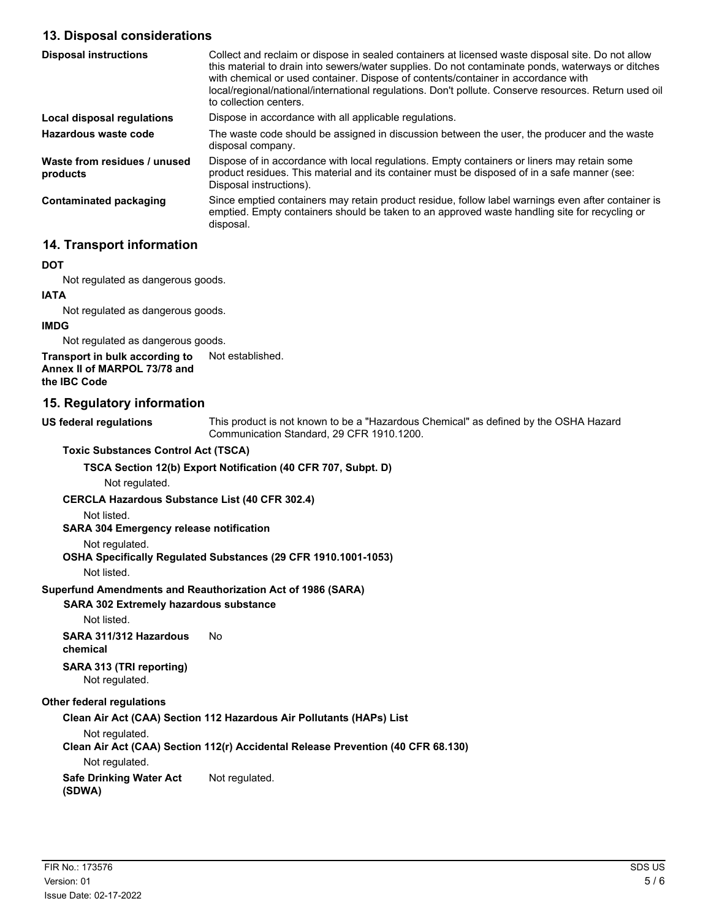## **13. Disposal considerations**

| <b>Disposal instructions</b>             | Collect and reclaim or dispose in sealed containers at licensed waste disposal site. Do not allow<br>this material to drain into sewers/water supplies. Do not contaminate ponds, waterways or ditches<br>with chemical or used container. Dispose of contents/container in accordance with<br>local/regional/national/international regulations. Don't pollute. Conserve resources. Return used oil<br>to collection centers. |
|------------------------------------------|--------------------------------------------------------------------------------------------------------------------------------------------------------------------------------------------------------------------------------------------------------------------------------------------------------------------------------------------------------------------------------------------------------------------------------|
| Local disposal regulations               | Dispose in accordance with all applicable regulations.                                                                                                                                                                                                                                                                                                                                                                         |
| Hazardous waste code                     | The waste code should be assigned in discussion between the user, the producer and the waste<br>disposal company.                                                                                                                                                                                                                                                                                                              |
| Waste from residues / unused<br>products | Dispose of in accordance with local regulations. Empty containers or liners may retain some<br>product residues. This material and its container must be disposed of in a safe manner (see:<br>Disposal instructions).                                                                                                                                                                                                         |
| Contaminated packaging                   | Since emptied containers may retain product residue, follow label warnings even after container is<br>emptied. Empty containers should be taken to an approved waste handling site for recycling or<br>disposal.                                                                                                                                                                                                               |

## **14. Transport information**

#### **DOT**

Not regulated as dangerous goods.

#### **IATA**

Not regulated as dangerous goods.

#### **IMDG**

Not regulated as dangerous goods.

**Transport in bulk according to** Not established. **Annex II of MARPOL 73/78 and the IBC Code**

#### **15. Regulatory information**

**US federal regulations**

This product is not known to be a "Hazardous Chemical" as defined by the OSHA Hazard Communication Standard, 29 CFR 1910.1200.

**Toxic Substances Control Act (TSCA)**

#### **TSCA Section 12(b) Export Notification (40 CFR 707, Subpt. D)**

Not regulated.

#### **CERCLA Hazardous Substance List (40 CFR 302.4)**

Not listed.

#### **SARA 304 Emergency release notification**

#### Not regulated.

#### **OSHA Specifically Regulated Substances (29 CFR 1910.1001-1053)**

Not listed.

#### **Superfund Amendments and Reauthorization Act of 1986 (SARA)**

#### **SARA 302 Extremely hazardous substance**

Not listed.

# **SARA 311/312 Hazardous** No

**chemical**

**SARA 313 (TRI reporting)** Not regulated.

#### **Other federal regulations**

**Clean Air Act (CAA) Section 112 Hazardous Air Pollutants (HAPs) List**

Not regulated.

**Clean Air Act (CAA) Section 112(r) Accidental Release Prevention (40 CFR 68.130)**

Not regulated.

**Safe Drinking Water Act** Not regulated.

**(SDWA)**